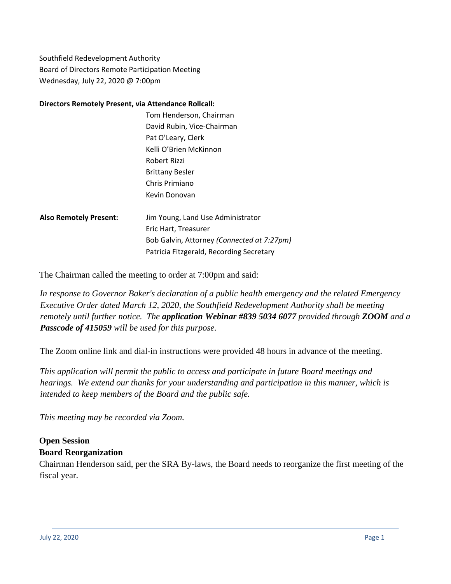Southfield Redevelopment Authority Board of Directors Remote Participation Meeting Wednesday, July 22, 2020 @ 7:00pm

#### **Directors Remotely Present, via Attendance Rollcall:**

|         | Tom Henderson, Chairman           |
|---------|-----------------------------------|
|         | David Rubin, Vice-Chairman        |
|         | Pat O'Leary, Clerk                |
|         | Kelli O'Brien McKinnon            |
|         | Robert Rizzi                      |
|         | <b>Brittany Besler</b>            |
|         | Chris Primiano                    |
|         | Kevin Donovan                     |
|         |                                   |
| resent: | Jim Young, Land Use Administrator |
|         | $E$ ric $U$ ort $Tr$ oncuror      |

**Also Remotely P** Eric Hart, Treasurer Bob Galvin, Attorney *(Connected at 7:27pm)* Patricia Fitzgerald, Recording Secretary

The Chairman called the meeting to order at 7:00pm and said:

*In response to Governor Baker's declaration of a public health emergency and the related Emergency Executive Order dated March 12, 2020, the Southfield Redevelopment Authority shall be meeting remotely until further notice. The application Webinar #839 5034 6077 provided through ZOOM and a Passcode of 415059 will be used for this purpose.*

The Zoom online link and dial-in instructions were provided 48 hours in advance of the meeting.

*This application will permit the public to access and participate in future Board meetings and hearings. We extend our thanks for your understanding and participation in this manner, which is intended to keep members of the Board and the public safe.*

*This meeting may be recorded via Zoom.*

### **Open Session Board Reorganization**

Chairman Henderson said, per the SRA By-laws, the Board needs to reorganize the first meeting of the fiscal year.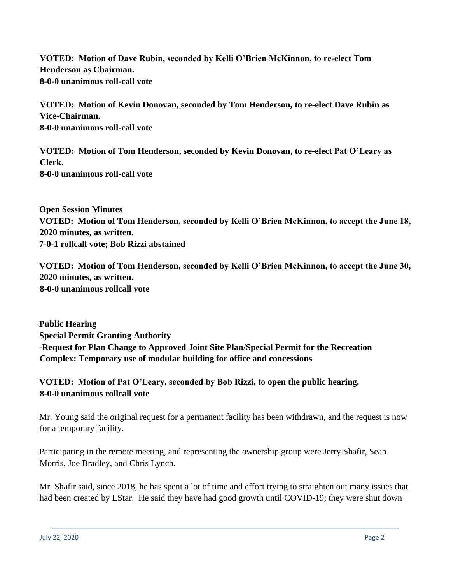**VOTED: Motion of Dave Rubin, seconded by Kelli O'Brien McKinnon, to re-elect Tom Henderson as Chairman. 8-0-0 unanimous roll-call vote**

**VOTED: Motion of Kevin Donovan, seconded by Tom Henderson, to re-elect Dave Rubin as Vice-Chairman. 8-0-0 unanimous roll-call vote**

**VOTED: Motion of Tom Henderson, seconded by Kevin Donovan, to re-elect Pat O'Leary as Clerk. 8-0-0 unanimous roll-call vote**

**Open Session Minutes VOTED: Motion of Tom Henderson, seconded by Kelli O'Brien McKinnon, to accept the June 18, 2020 minutes, as written. 7-0-1 rollcall vote; Bob Rizzi abstained**

**VOTED: Motion of Tom Henderson, seconded by Kelli O'Brien McKinnon, to accept the June 30, 2020 minutes, as written. 8-0-0 unanimous rollcall vote**

**Public Hearing Special Permit Granting Authority -Request for Plan Change to Approved Joint Site Plan/Special Permit for the Recreation Complex: Temporary use of modular building for office and concessions**

# **VOTED: Motion of Pat O'Leary, seconded by Bob Rizzi, to open the public hearing. 8-0-0 unanimous rollcall vote**

Mr. Young said the original request for a permanent facility has been withdrawn, and the request is now for a temporary facility.

Participating in the remote meeting, and representing the ownership group were Jerry Shafir, Sean Morris, Joe Bradley, and Chris Lynch.

Mr. Shafir said, since 2018, he has spent a lot of time and effort trying to straighten out many issues that had been created by LStar. He said they have had good growth until COVID-19; they were shut down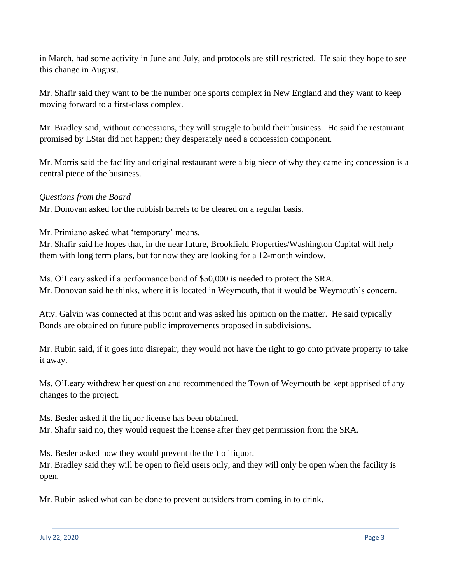in March, had some activity in June and July, and protocols are still restricted. He said they hope to see this change in August.

Mr. Shafir said they want to be the number one sports complex in New England and they want to keep moving forward to a first-class complex.

Mr. Bradley said, without concessions, they will struggle to build their business. He said the restaurant promised by LStar did not happen; they desperately need a concession component.

Mr. Morris said the facility and original restaurant were a big piece of why they came in; concession is a central piece of the business.

### *Questions from the Board*

Mr. Donovan asked for the rubbish barrels to be cleared on a regular basis.

Mr. Primiano asked what 'temporary' means.

Mr. Shafir said he hopes that, in the near future, Brookfield Properties/Washington Capital will help them with long term plans, but for now they are looking for a 12-month window.

Ms. O'Leary asked if a performance bond of \$50,000 is needed to protect the SRA. Mr. Donovan said he thinks, where it is located in Weymouth, that it would be Weymouth's concern.

Atty. Galvin was connected at this point and was asked his opinion on the matter. He said typically Bonds are obtained on future public improvements proposed in subdivisions.

Mr. Rubin said, if it goes into disrepair, they would not have the right to go onto private property to take it away.

Ms. O'Leary withdrew her question and recommended the Town of Weymouth be kept apprised of any changes to the project.

Ms. Besler asked if the liquor license has been obtained. Mr. Shafir said no, they would request the license after they get permission from the SRA.

Ms. Besler asked how they would prevent the theft of liquor.

Mr. Bradley said they will be open to field users only, and they will only be open when the facility is open.

Mr. Rubin asked what can be done to prevent outsiders from coming in to drink.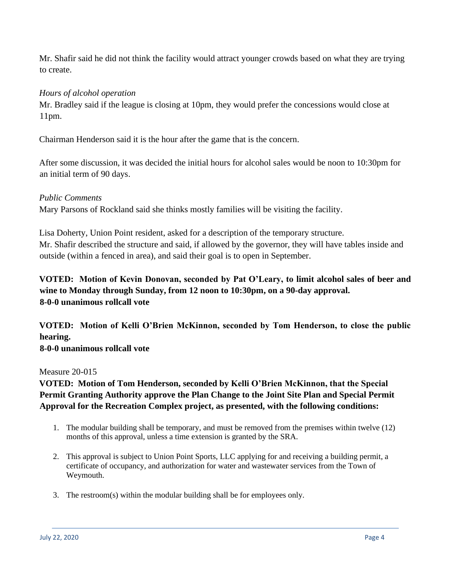Mr. Shafir said he did not think the facility would attract younger crowds based on what they are trying to create.

### *Hours of alcohol operation*

Mr. Bradley said if the league is closing at 10pm, they would prefer the concessions would close at 11pm.

Chairman Henderson said it is the hour after the game that is the concern.

After some discussion, it was decided the initial hours for alcohol sales would be noon to 10:30pm for an initial term of 90 days.

### *Public Comments*

Mary Parsons of Rockland said she thinks mostly families will be visiting the facility.

Lisa Doherty, Union Point resident, asked for a description of the temporary structure. Mr. Shafir described the structure and said, if allowed by the governor, they will have tables inside and outside (within a fenced in area), and said their goal is to open in September.

# **VOTED: Motion of Kevin Donovan, seconded by Pat O'Leary, to limit alcohol sales of beer and wine to Monday through Sunday, from 12 noon to 10:30pm, on a 90-day approval. 8-0-0 unanimous rollcall vote**

**VOTED: Motion of Kelli O'Brien McKinnon, seconded by Tom Henderson, to close the public hearing.** 

**8-0-0 unanimous rollcall vote**

#### Measure 20-015

## **VOTED: Motion of Tom Henderson, seconded by Kelli O'Brien McKinnon, that the Special Permit Granting Authority approve the Plan Change to the Joint Site Plan and Special Permit Approval for the Recreation Complex project, as presented, with the following conditions:**

- 1. The modular building shall be temporary, and must be removed from the premises within twelve (12) months of this approval, unless a time extension is granted by the SRA.
- 2. This approval is subject to Union Point Sports, LLC applying for and receiving a building permit, a certificate of occupancy, and authorization for water and wastewater services from the Town of Weymouth.
- 3. The restroom(s) within the modular building shall be for employees only.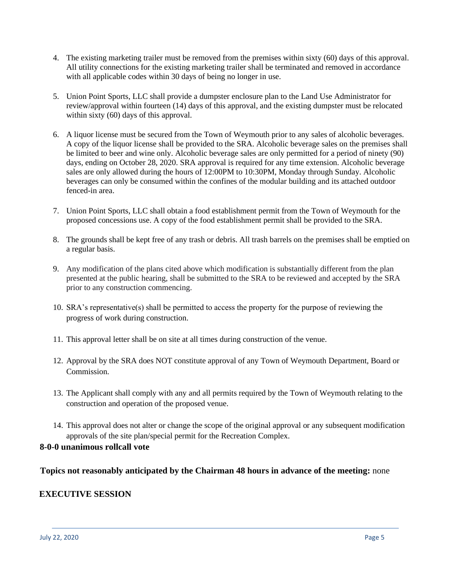- 4. The existing marketing trailer must be removed from the premises within sixty (60) days of this approval. All utility connections for the existing marketing trailer shall be terminated and removed in accordance with all applicable codes within 30 days of being no longer in use.
- 5. Union Point Sports, LLC shall provide a dumpster enclosure plan to the Land Use Administrator for review/approval within fourteen (14) days of this approval, and the existing dumpster must be relocated within sixty (60) days of this approval.
- 6. A liquor license must be secured from the Town of Weymouth prior to any sales of alcoholic beverages. A copy of the liquor license shall be provided to the SRA. Alcoholic beverage sales on the premises shall be limited to beer and wine only. Alcoholic beverage sales are only permitted for a period of ninety (90) days, ending on October 28, 2020. SRA approval is required for any time extension. Alcoholic beverage sales are only allowed during the hours of 12:00PM to 10:30PM, Monday through Sunday. Alcoholic beverages can only be consumed within the confines of the modular building and its attached outdoor fenced-in area.
- 7. Union Point Sports, LLC shall obtain a food establishment permit from the Town of Weymouth for the proposed concessions use. A copy of the food establishment permit shall be provided to the SRA.
- 8. The grounds shall be kept free of any trash or debris. All trash barrels on the premises shall be emptied on a regular basis.
- 9. Any modification of the plans cited above which modification is substantially different from the plan presented at the public hearing, shall be submitted to the SRA to be reviewed and accepted by the SRA prior to any construction commencing.
- 10. SRA's representative(s) shall be permitted to access the property for the purpose of reviewing the progress of work during construction.
- 11. This approval letter shall be on site at all times during construction of the venue.
- 12. Approval by the SRA does NOT constitute approval of any Town of Weymouth Department, Board or Commission.
- 13. The Applicant shall comply with any and all permits required by the Town of Weymouth relating to the construction and operation of the proposed venue.
- 14. This approval does not alter or change the scope of the original approval or any subsequent modification approvals of the site plan/special permit for the Recreation Complex.

#### **8-0-0 unanimous rollcall vote**

**Topics not reasonably anticipated by the Chairman 48 hours in advance of the meeting:** none

### **EXECUTIVE SESSION**